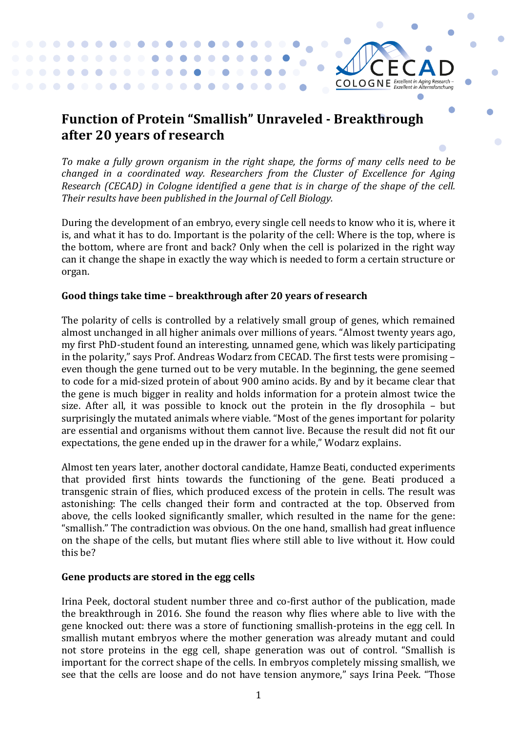# **Function of Protein "Smallish" Unraveled - Breakthrough after 20 years of research**

 $\bullet$   $\bullet$ 

 $\blacksquare$ **CONTRACTOR** 

 $\bullet$  $\bullet$  $\blacksquare$  $\bullet$ 

 $\bullet$ 

 $\bullet$  $\bullet$  $\bullet$ 

To make a fully grown organism in the right shape, the forms of many cells need to be *changed* in a coordinated way. Researchers from the Cluster of Excellence for Aging *Research (CECAD)* in *Cologne identified a gene that is in charge of the shape of the cell.* Their results have been published in the Journal of Cell Biology.

 $CO$  LO G N E *Excellent in Aging Research* -

 $\Box$ 

During the development of an embryo, every single cell needs to know who it is, where it is, and what it has to do. Important is the polarity of the cell: Where is the top, where is the bottom, where are front and back? Only when the cell is polarized in the right way can it change the shape in exactly the way which is needed to form a certain structure or organ.

## Good things take time - breakthrough after 20 years of research

The polarity of cells is controlled by a relatively small group of genes, which remained almost unchanged in all higher animals over millions of years. "Almost twenty years ago, my first PhD-student found an interesting, unnamed gene, which was likely participating in the polarity," says Prof. Andreas Wodarz from CECAD. The first tests were promising  $$ even though the gene turned out to be very mutable. In the beginning, the gene seemed to code for a mid-sized protein of about 900 amino acids. By and by it became clear that the gene is much bigger in reality and holds information for a protein almost twice the size. After all, it was possible to knock out the protein in the fly drosophila  $-$  but surprisingly the mutated animals where viable. "Most of the genes important for polarity are essential and organisms without them cannot live. Because the result did not fit our expectations, the gene ended up in the drawer for a while," Wodarz explains.

Almost ten years later, another doctoral candidate, Hamze Beati, conducted experiments that provided first hints towards the functioning of the gene. Beati produced a transgenic strain of flies, which produced excess of the protein in cells. The result was astonishing: The cells changed their form and contracted at the top. Observed from above, the cells looked significantly smaller, which resulted in the name for the gene: "smallish." The contradiction was obvious. On the one hand, smallish had great influence on the shape of the cells, but mutant flies where still able to live without it. How could this be?

## Gene products are stored in the egg cells

Irina Peek, doctoral student number three and co-first author of the publication, made the breakthrough in 2016. She found the reason why flies where able to live with the gene knocked out: there was a store of functioning smallish-proteins in the egg cell. In smallish mutant embryos where the mother generation was already mutant and could not store proteins in the egg cell, shape generation was out of control. "Smallish is important for the correct shape of the cells. In embryos completely missing smallish, we see that the cells are loose and do not have tension anymore," says Irina Peek. "Those